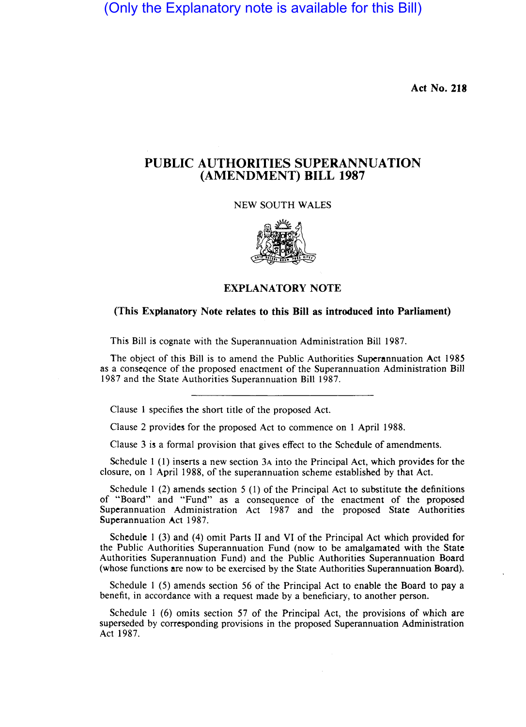(Only the Explanatory note is available for this Bill)

Act No. 218

## PUBLIC AUTHORITIES SUPERANNUATION (AMENDMENT) BILL 1987

NEW SOUTH WALES



## EXPLANATORY NOTE

## (This Explanatory Note relates to this Bill as introduced into Parliament)

This Bill is cognate with the Superannuation Administration Bill 1987.

The object of this Bill is to amend the Public Authorities Superannuation Act 1985 as a conseqence of the proposed enactment of the Superannuation Administration Bill 1987 and the State Authorities Superannuation Bill 1987.

Clause 1 specifies the short title of the proposed Act.

Clause 2 provides for the proposed Act to commence on 1 April 1988.

Clause 3 is a formal provision that gives effect to the Schedule of amendments.

Schedule 1 (1) inserts a new section 3A into the Principal Act, which provides for the closure, on 1 April 1988, of the superannuation scheme established by that Act.

Schedule 1 (2) amends section 5 (1) of the Principal Act to substitute the definitions of "Board" and "Fund" as a consequence of the enactment of the proposed Superannuation Administration Act 1987 and the proposed State Authorities Superannuation Act 1987.

Schedule 1 (3) and (4) omit Parts 11 and VI of the Principal Act which provided for the Public Authorities Superannuation Fund (now to be amalgamated with the State Authorities Superannuation Fund) and the Public Authorities Superannuation Board (whose functions are now to be exercised by the State Authorities Superannuation Board).

Schedule 1 (5) amends section 56 of the Principal Act to enable the Board to pay a benefit, in accordance with a request made by a beneficiary, to another person.

Schedule I (6) omits section 57 of the Principal Act, the provisions of which are superseded by corresponding provisions in the proposed Superannuation Administration Act 1987.